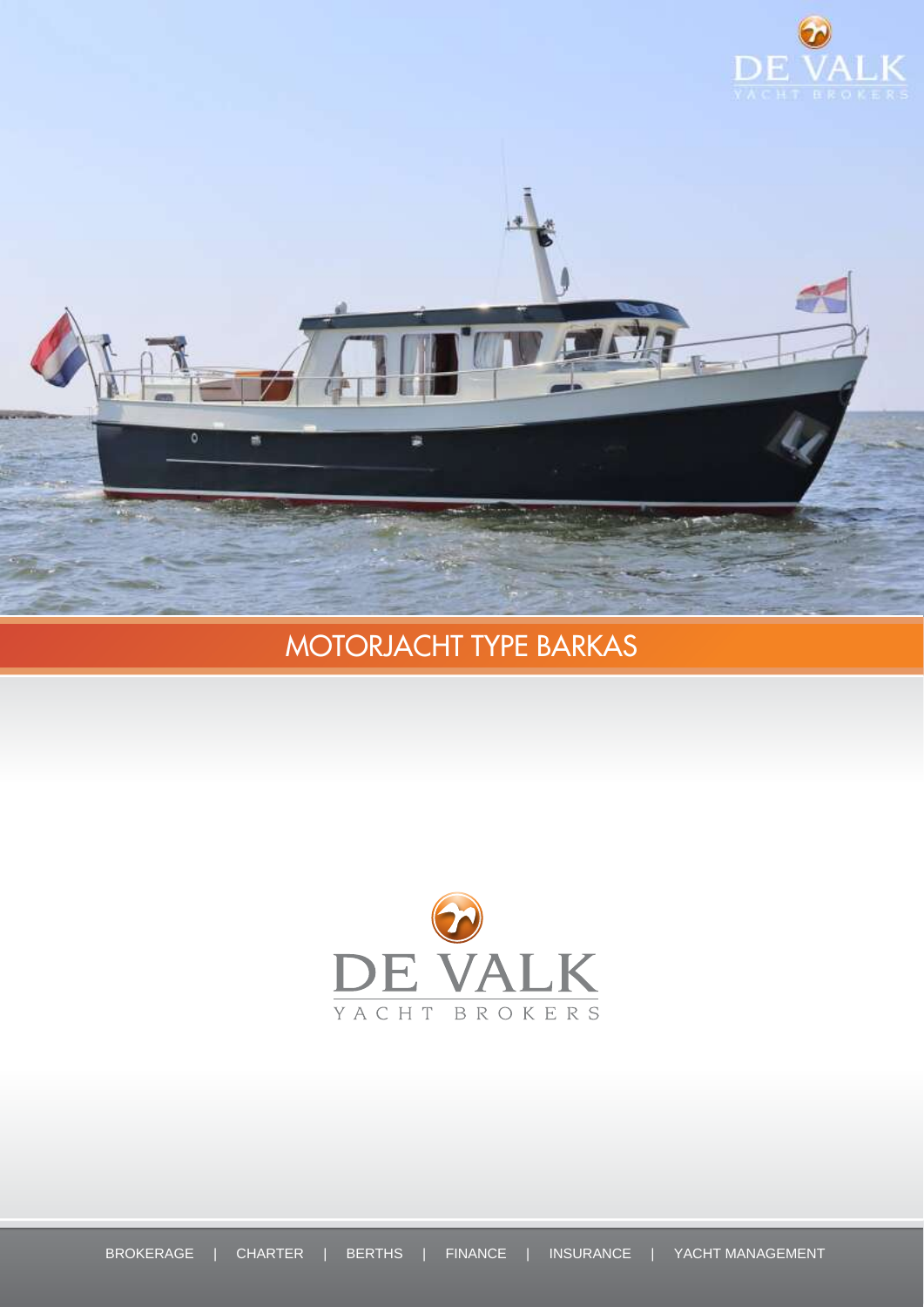

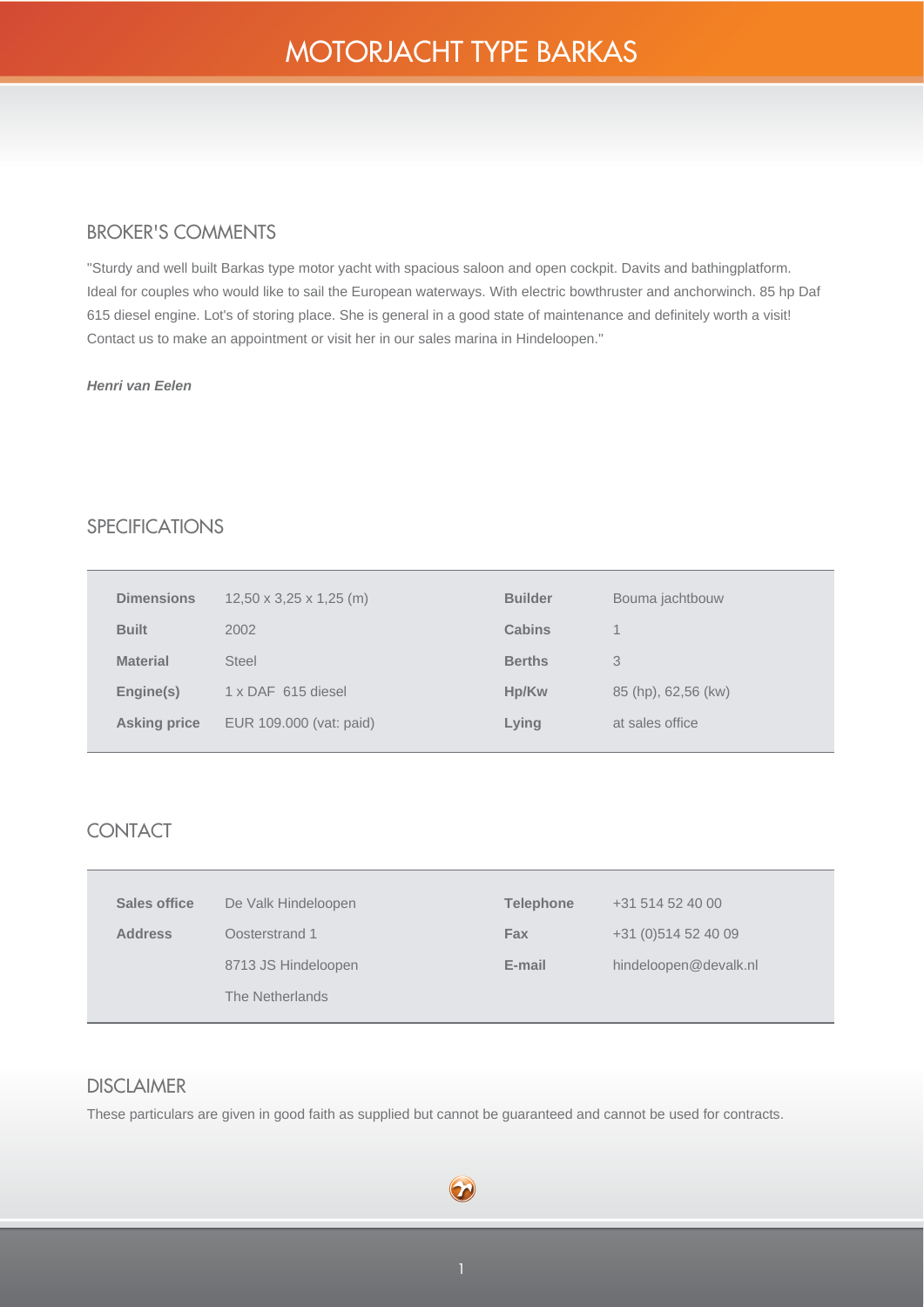### **BROKER'S COMMENTS**

''Sturdy and well built Barkas type motor yacht with spacious saloon and open cockpit. Davits and bathingplatform. Ideal for couples who would like to sail the European waterways. With electric bowthruster and anchorwinch. 85 hp Daf 615 diesel engine. Lot's of storing place. She is general in a good state of maintenance and definitely worth a visit! Contact us to make an appointment or visit her in our sales marina in Hindeloopen.''

#### **Henri van Eelen**

### **SPECIFICATIONS**

| <b>Dimensions</b>   | $12,50 \times 3,25 \times 1,25$ (m) | <b>Builder</b> | Bouma jachtbouw     |
|---------------------|-------------------------------------|----------------|---------------------|
| <b>Built</b>        | 2002                                | Cabins         | 1                   |
| <b>Material</b>     | <b>Steel</b>                        | <b>Berths</b>  | 3                   |
| Engine(s)           | 1 x DAF 615 diesel                  | Hp/Kw          | 85 (hp), 62,56 (kw) |
| <b>Asking price</b> | EUR 109.000 (vat: paid)             | Lying          | at sales office     |
|                     |                                     |                |                     |

### **CONTACT**

| <b>Sales office</b> | De Valk Hindeloopen | <b>Telephone</b> | +31 514 52 40 00      |
|---------------------|---------------------|------------------|-----------------------|
| <b>Address</b>      | Oosterstrand 1      | <b>Fax</b>       | +31 (0) 514 52 40 09  |
|                     | 8713 JS Hindeloopen | E-mail           | hindeloopen@devalk.nl |
|                     | The Netherlands     |                  |                       |

#### **DISCLAIMER**

These particulars are given in good faith as supplied but cannot be guaranteed and cannot be used for contracts.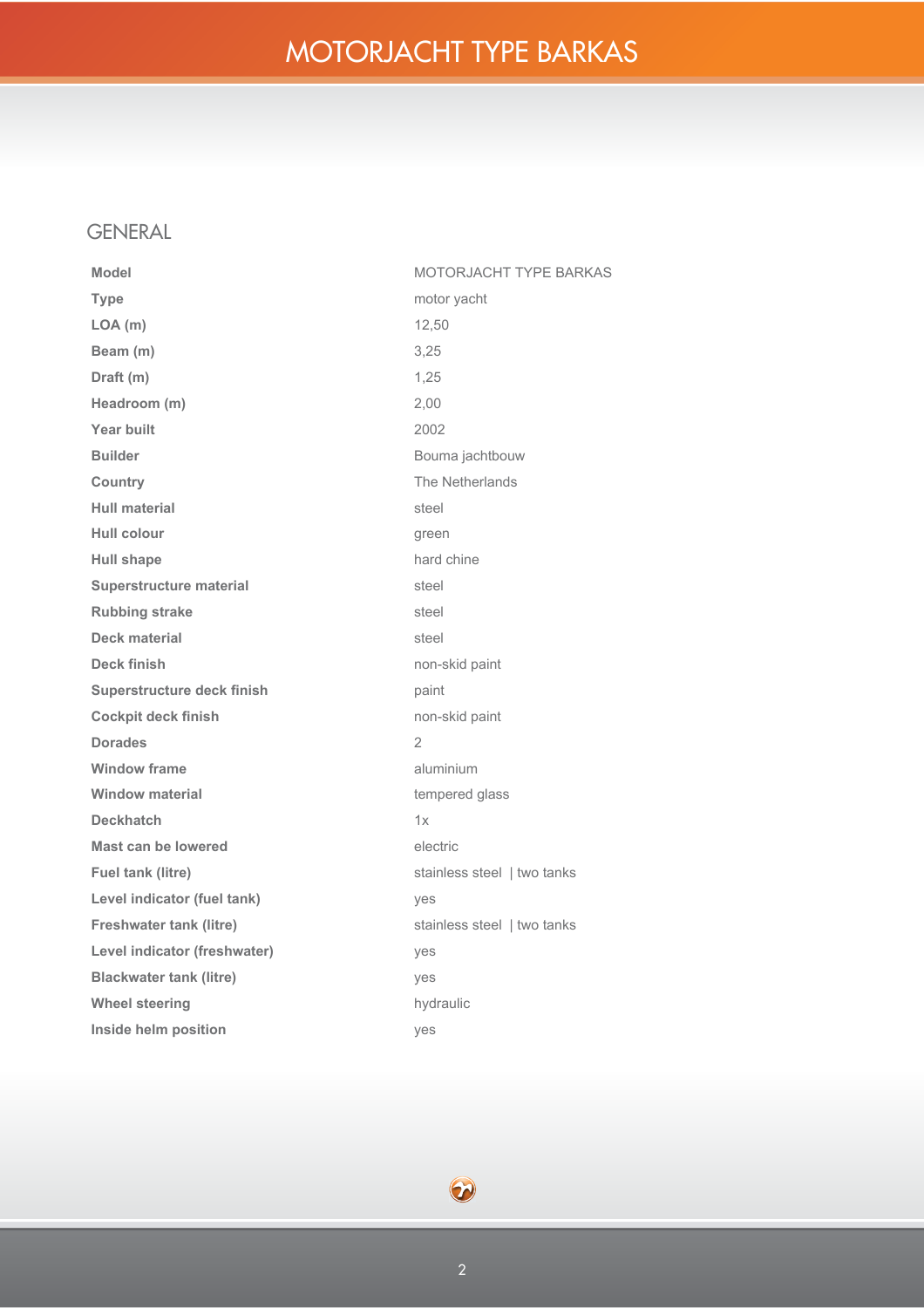### **GENERAL**

**Model MOTORJACHT TYPE BARKAS Type motor yacht LOA (m) 12,50 Beam (m) 3,25 Draft (m) 1,25 Headroom (m) 2,00 Year built 2002 Builder Bouma jachtbouw Country The Netherlands Hull material steel Hull colour green Hull shape hard chine Superstructure material steel Rubbing strake steel Deck material steel Deck finish non-skid paint Superstructure deck finish paint Cockpit deck finish non-skid paint Dorades 2 Window frame aluminium Window material tempered** glass **Deckhatch 1x Mast can be lowered electric Fuel tank (litre) stainless steel | two tanks Level indicator (fuel tank) yes Freshwater tank (litre) stainless steel | two tanks Level indicator (freshwater) yes Blackwater tank (litre) yes Wheel steering hydraulic Inside helm position yes**

 $\bm{\omega}$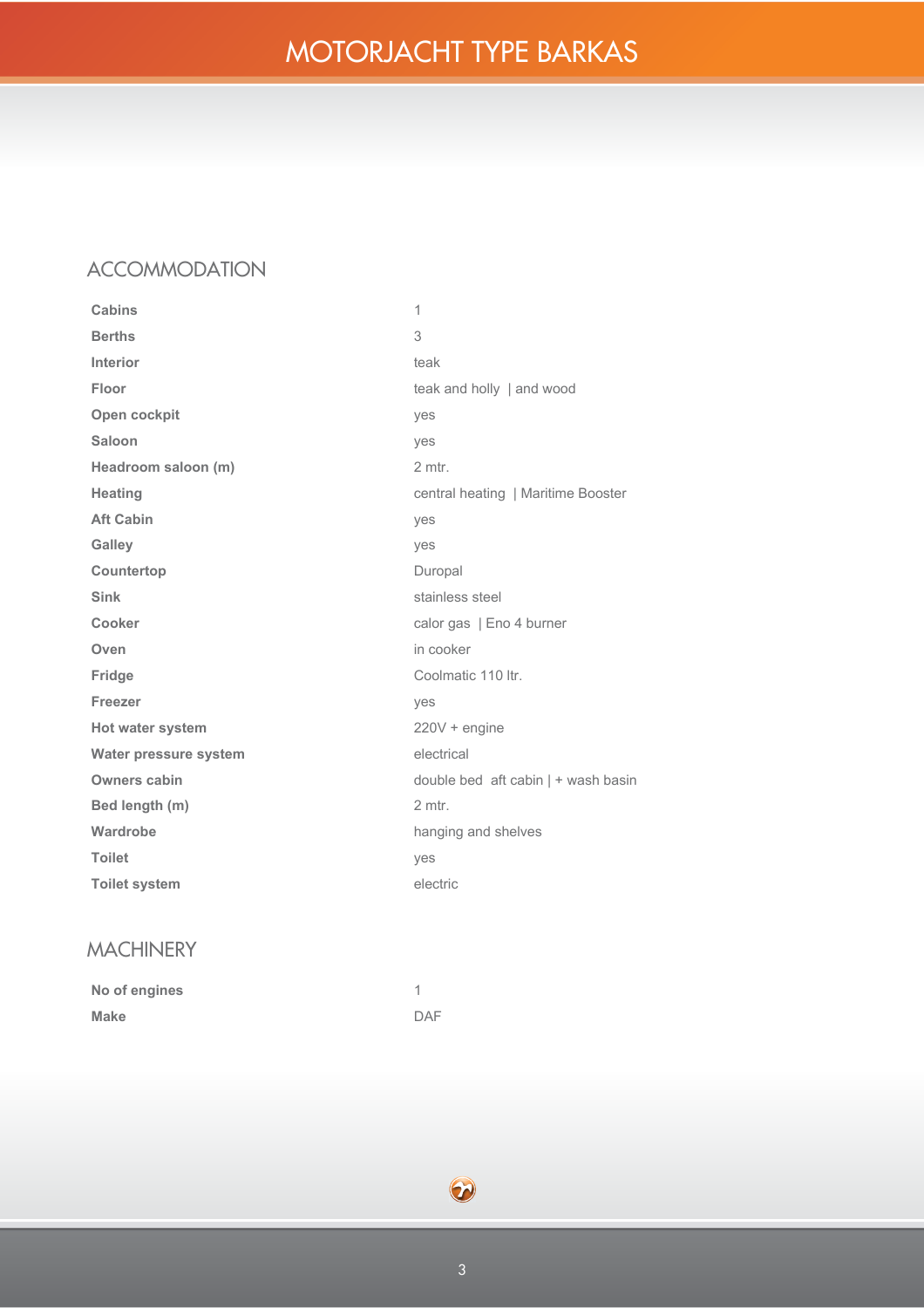## **ACCOMMODATION**

| <b>Cabins</b>           | 1                                       |
|-------------------------|-----------------------------------------|
| <b>Berths</b>           | 3                                       |
| Interior                | teak                                    |
| Floor                   | teak and holly   and wood               |
| Open cockpit            | yes                                     |
| Saloon                  | yes                                     |
| Headroom saloon (m)     | 2 mtr.                                  |
| <b>Heating</b>          | central heating   Maritime Booster      |
| <b>Aft Cabin</b>        | yes                                     |
| <b>Galley</b>           | yes                                     |
| Countertop              | Duropal                                 |
| <b>Sink</b>             | stainless steel                         |
| Cooker                  | calor gas   Eno 4 burner                |
| Oven                    | in cooker                               |
| <b>Fridge</b>           | Coolmatic 110 ltr.                      |
| Freezer                 | yes                                     |
| <b>Hot water system</b> | $220V + engine$                         |
| Water pressure system   | electrical                              |
| Owners cabin            | double bed $aff$ cabin $  +$ wash basin |
| Bed length (m)          | 2 mtr.                                  |
| Wardrobe                | hanging and shelves                     |
| <b>Toilet</b>           | ves                                     |
| <b>Toilet system</b>    | electric                                |

## **MACHINERY**

| No of engines |     |
|---------------|-----|
| <b>Make</b>   | DAF |

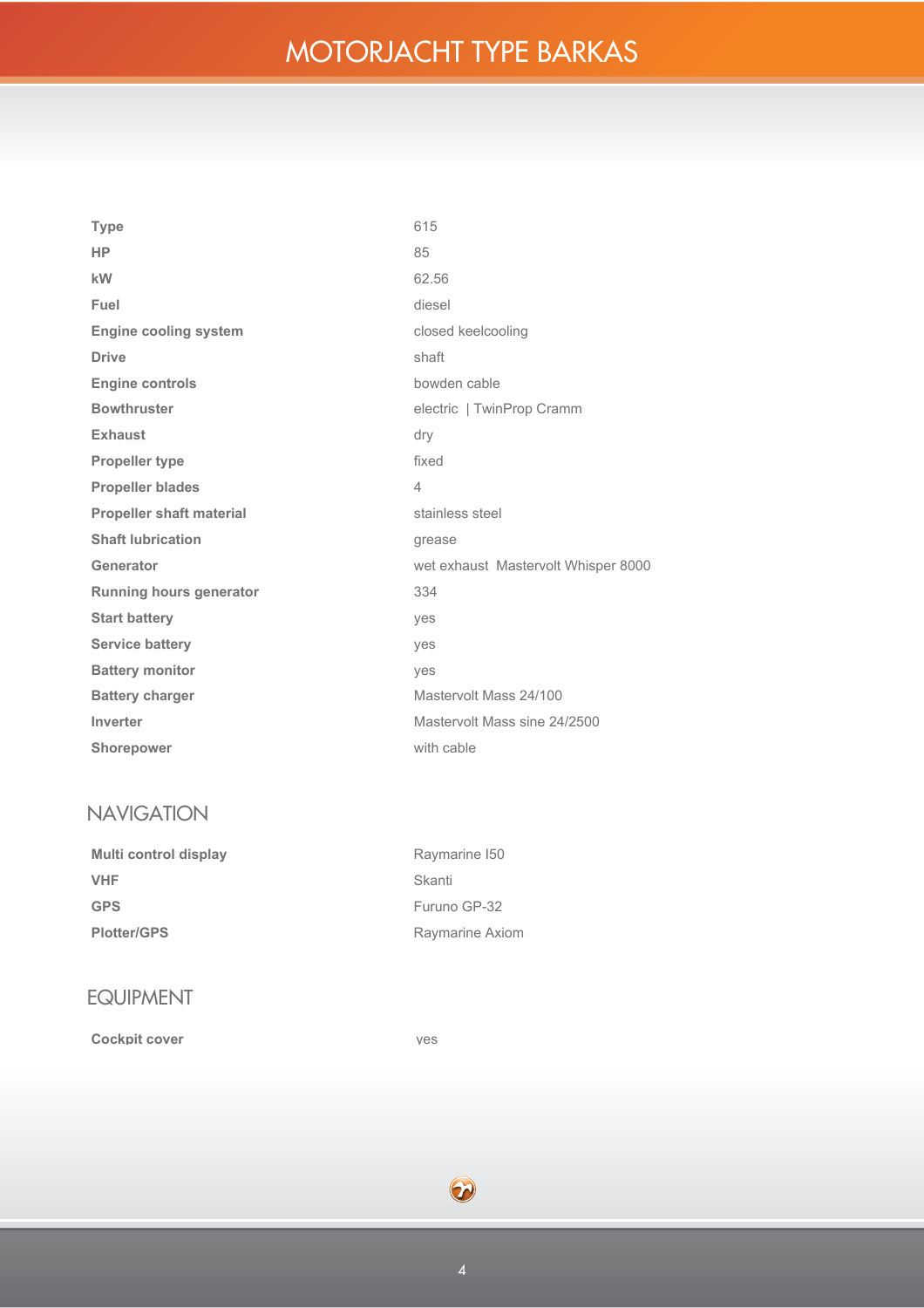| <b>Type</b>                     | 615                                 |
|---------------------------------|-------------------------------------|
| <b>HP</b>                       | 85                                  |
| kW                              | 62.56                               |
| Fuel                            | diesel                              |
| <b>Engine cooling system</b>    | closed keelcooling                  |
| <b>Drive</b>                    | shaft                               |
| <b>Engine controls</b>          | bowden cable                        |
| <b>Bowthruster</b>              | electric   TwinProp Cramm           |
| <b>Exhaust</b>                  | dry                                 |
| <b>Propeller type</b>           | fixed                               |
| <b>Propeller blades</b>         | 4                                   |
| <b>Propeller shaft material</b> | stainless steel                     |
| <b>Shaft lubrication</b>        | grease                              |
| Generator                       | wet exhaust Mastervolt Whisper 8000 |
| Running hours generator         | 334                                 |
| <b>Start battery</b>            | yes                                 |
| <b>Service battery</b>          | yes                                 |
| <b>Battery monitor</b>          | yes                                 |
| <b>Battery charger</b>          | Mastervolt Mass 24/100              |
| Inverter                        | Mastervolt Mass sine 24/2500        |
| Shorepower                      | with cable                          |
|                                 |                                     |

### **NAVIGATION**

| Multi control display | Raymarine 150   |
|-----------------------|-----------------|
| <b>VHF</b>            | Skanti          |
| <b>GPS</b>            | Furuno GP-32    |
| <b>Plotter/GPS</b>    | Raymarine Axiom |

### **EQUIPMENT**

**Cockpit cover yes**

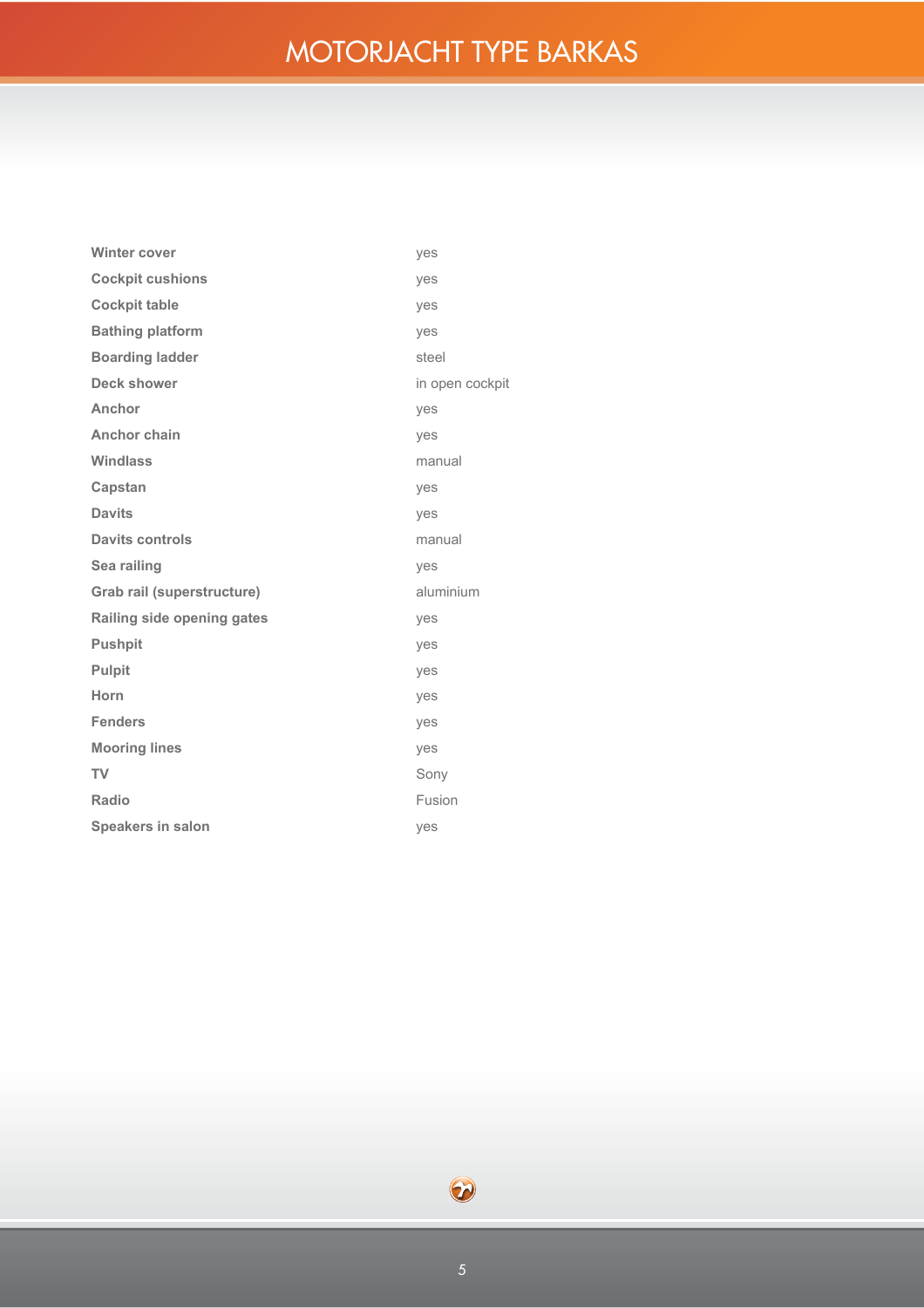| <b>Winter cover</b>        | yes             |
|----------------------------|-----------------|
| <b>Cockpit cushions</b>    | yes             |
| <b>Cockpit table</b>       | yes             |
| <b>Bathing platform</b>    | yes             |
| <b>Boarding ladder</b>     | steel           |
| <b>Deck shower</b>         | in open cockpit |
| Anchor                     | yes             |
| Anchor chain               | yes             |
| <b>Windlass</b>            | manual          |
| Capstan                    | yes             |
| <b>Davits</b>              | yes             |
| <b>Davits controls</b>     | manual          |
| Sea railing                | yes             |
| Grab rail (superstructure) | aluminium       |
| Railing side opening gates | yes             |
| <b>Pushpit</b>             | yes             |
| <b>Pulpit</b>              | yes             |
| Horn                       | yes             |
| <b>Fenders</b>             | yes             |
| <b>Mooring lines</b>       | yes             |
| <b>TV</b>                  | Sony            |
| <b>Radio</b>               | Fusion          |
| Speakers in salon          | yes             |

 $\odot$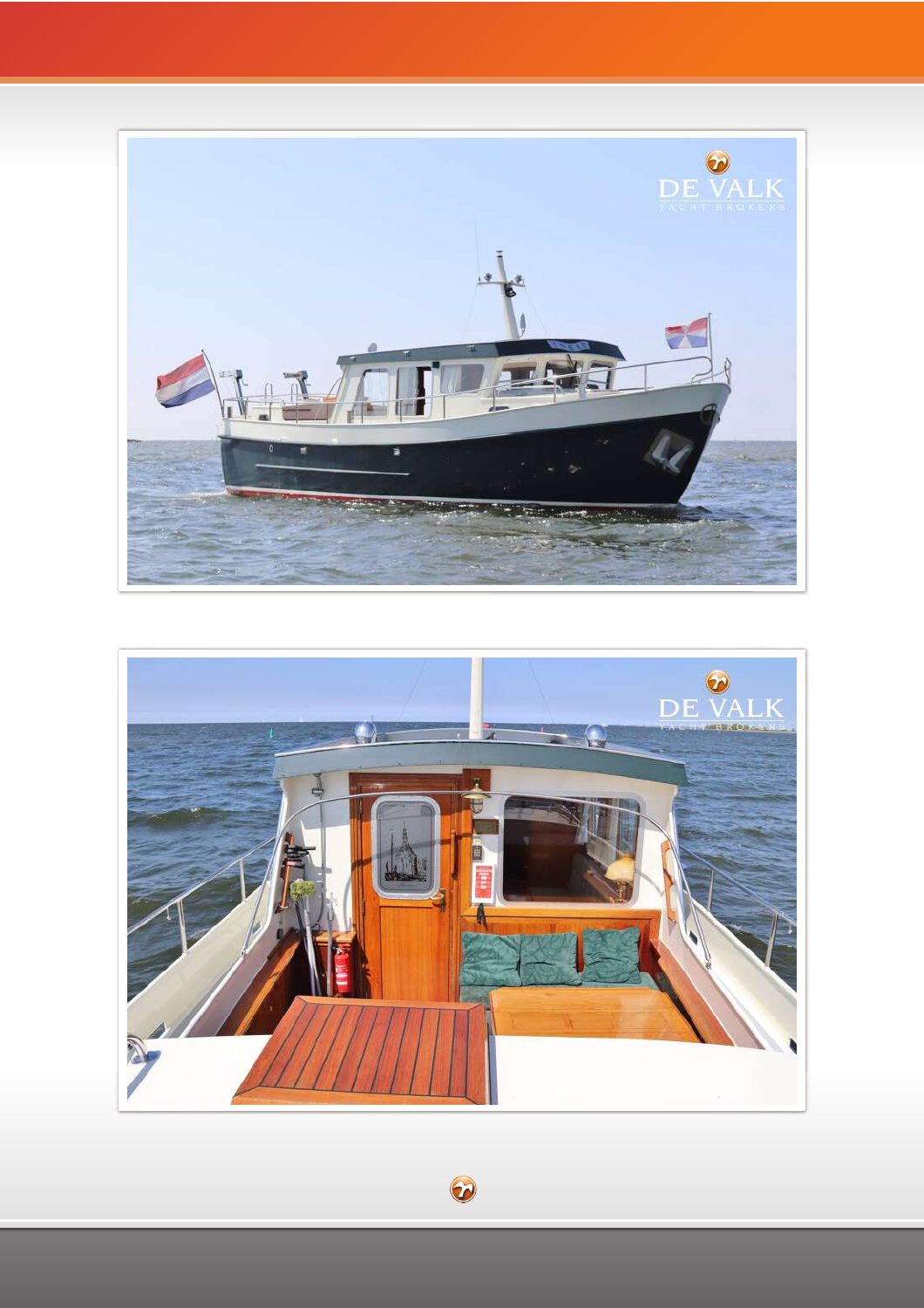## $02725 - $8 + 7 7 < 3 ( % $5 . $6$



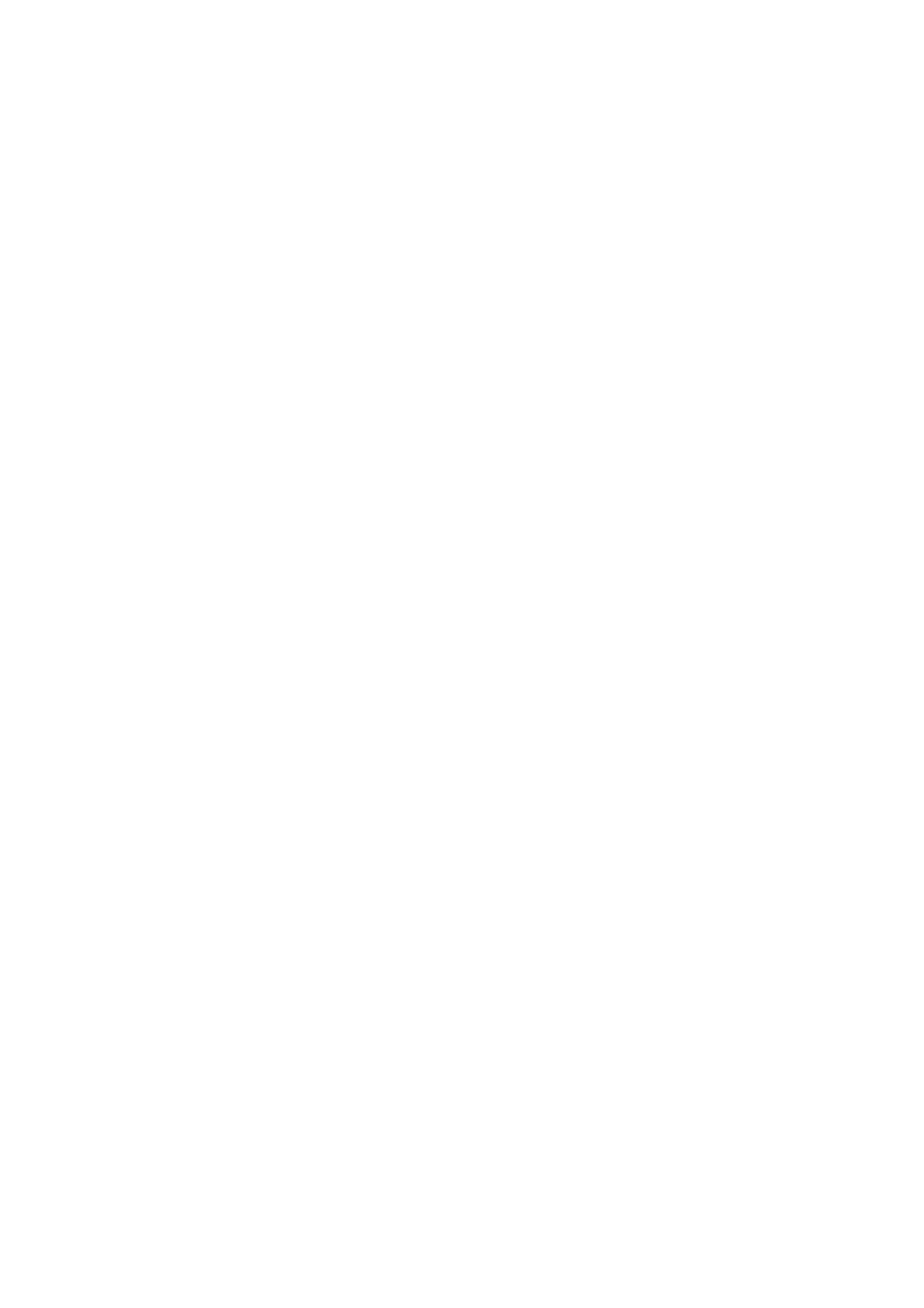| ---- |  |
|------|--|
|      |  |
|      |  |
|      |  |
|      |  |
|      |  |
|      |  |
|      |  |
|      |  |
|      |  |
|      |  |
|      |  |
|      |  |
|      |  |
|      |  |
|      |  |
|      |  |
|      |  |
|      |  |
|      |  |
|      |  |
|      |  |
|      |  |
|      |  |
|      |  |
|      |  |
|      |  |
|      |  |
|      |  |
|      |  |
|      |  |
|      |  |
|      |  |
|      |  |
|      |  |
|      |  |
|      |  |
|      |  |
|      |  |
|      |  |
|      |  |
|      |  |
|      |  |
|      |  |
|      |  |
|      |  |
|      |  |
|      |  |
|      |  |
|      |  |
|      |  |
|      |  |
|      |  |
|      |  |
|      |  |
|      |  |
|      |  |
|      |  |
|      |  |

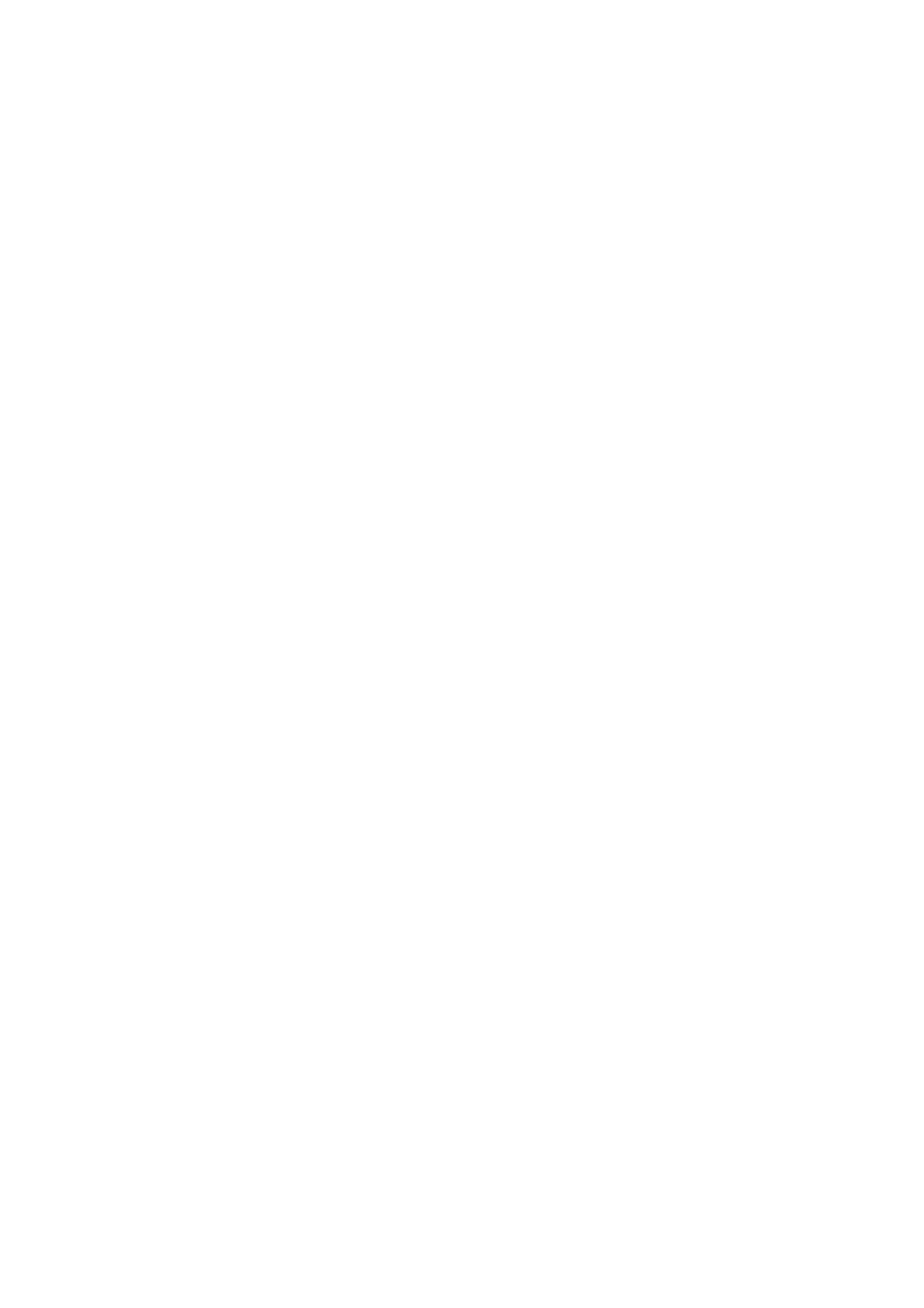| ---- |  |
|------|--|
|      |  |
|      |  |
|      |  |
|      |  |
|      |  |
|      |  |
|      |  |
|      |  |
|      |  |
|      |  |
|      |  |
|      |  |
|      |  |
|      |  |
|      |  |
|      |  |
|      |  |
|      |  |
|      |  |
|      |  |
|      |  |
|      |  |
|      |  |
|      |  |
|      |  |
|      |  |
|      |  |
|      |  |
|      |  |
|      |  |
|      |  |
|      |  |
|      |  |
|      |  |
|      |  |
|      |  |
|      |  |
|      |  |
|      |  |
|      |  |
|      |  |
|      |  |
|      |  |
|      |  |
|      |  |
|      |  |
|      |  |
|      |  |
|      |  |
|      |  |
|      |  |
|      |  |
|      |  |
|      |  |
|      |  |
|      |  |
|      |  |
|      |  |

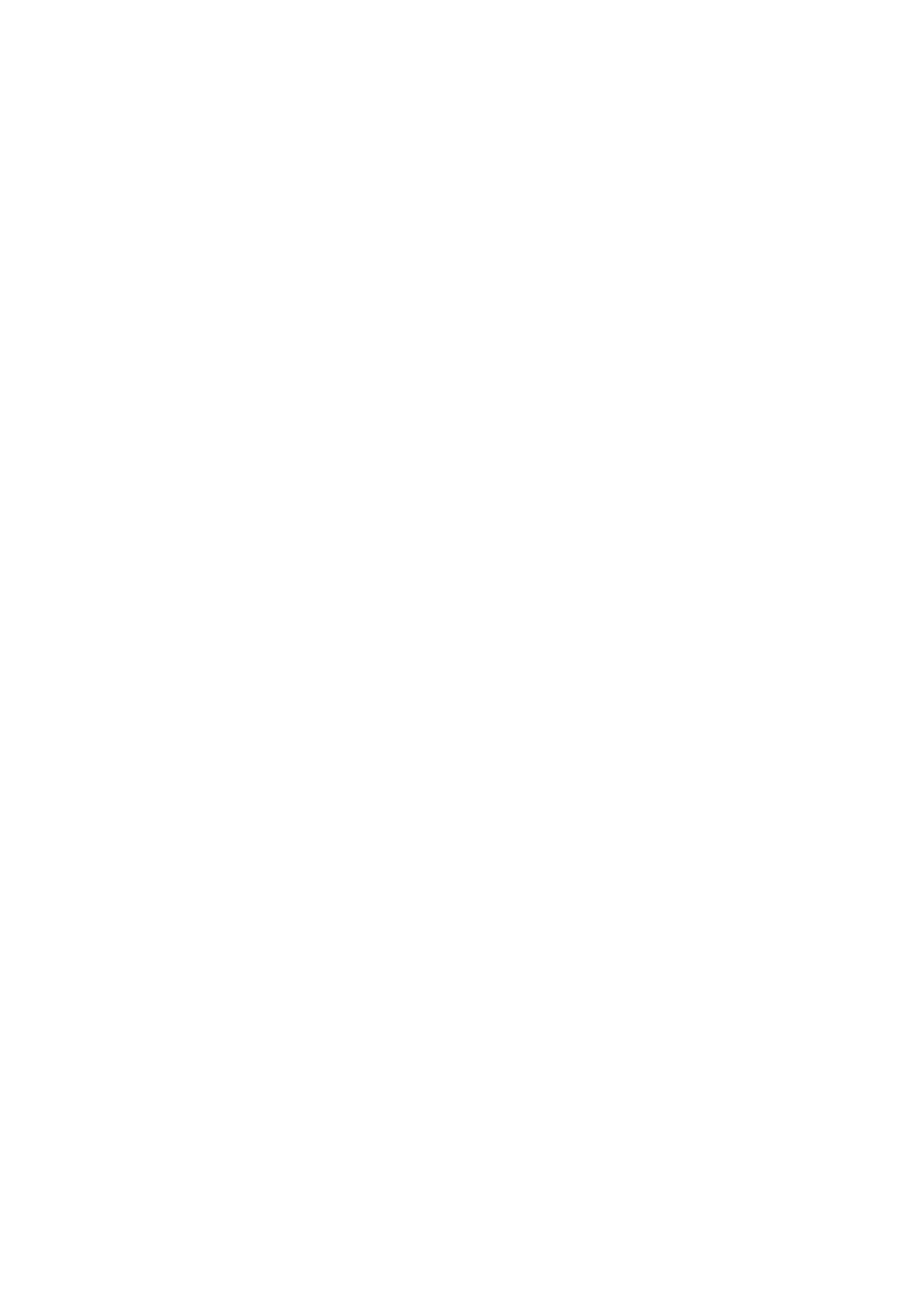| ---- |  |
|------|--|
|      |  |
|      |  |
|      |  |
|      |  |
|      |  |
|      |  |
|      |  |
|      |  |
|      |  |
|      |  |
|      |  |
|      |  |
|      |  |
|      |  |
|      |  |
|      |  |
|      |  |
|      |  |
|      |  |
|      |  |
|      |  |
|      |  |
|      |  |
|      |  |
|      |  |
|      |  |
|      |  |
|      |  |
|      |  |
|      |  |
|      |  |
|      |  |
|      |  |
|      |  |
|      |  |
|      |  |
|      |  |
|      |  |
|      |  |
|      |  |
|      |  |
|      |  |
|      |  |
|      |  |
|      |  |
|      |  |
|      |  |
|      |  |
|      |  |
|      |  |
|      |  |
|      |  |
|      |  |
|      |  |
|      |  |
|      |  |
|      |  |
|      |  |

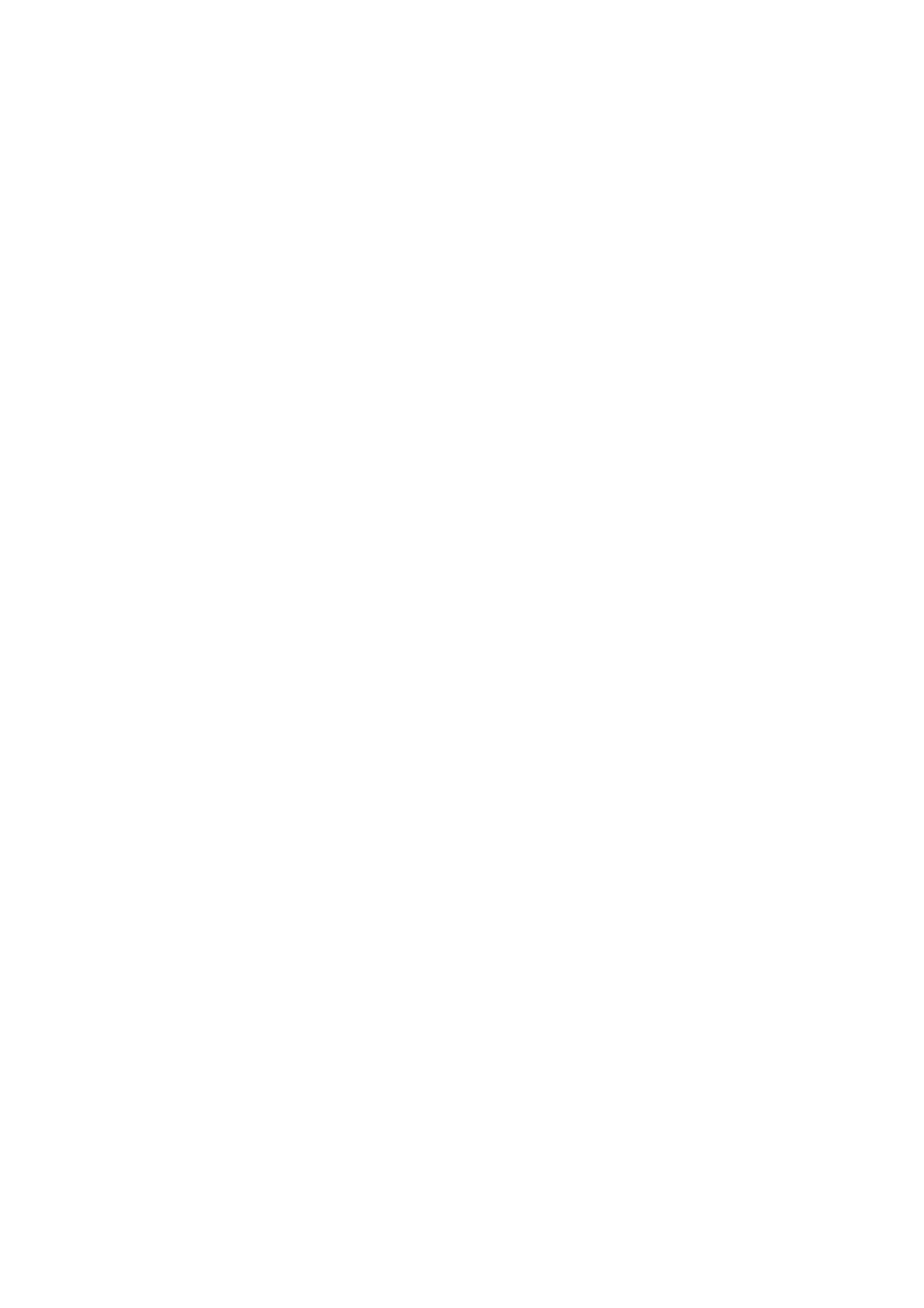| ---- |  |
|------|--|
|      |  |
|      |  |
|      |  |
|      |  |
|      |  |
|      |  |
|      |  |
|      |  |
|      |  |
|      |  |
|      |  |
|      |  |
|      |  |
|      |  |
|      |  |
|      |  |
|      |  |
|      |  |
|      |  |
|      |  |
|      |  |
|      |  |
|      |  |
|      |  |
|      |  |
|      |  |
|      |  |
|      |  |
|      |  |
|      |  |
|      |  |
|      |  |
|      |  |
|      |  |
|      |  |
|      |  |
|      |  |
|      |  |
|      |  |
|      |  |
|      |  |
|      |  |
|      |  |
|      |  |
|      |  |
|      |  |
|      |  |
|      |  |
|      |  |
|      |  |
|      |  |
|      |  |
|      |  |
|      |  |
|      |  |
|      |  |
|      |  |
|      |  |

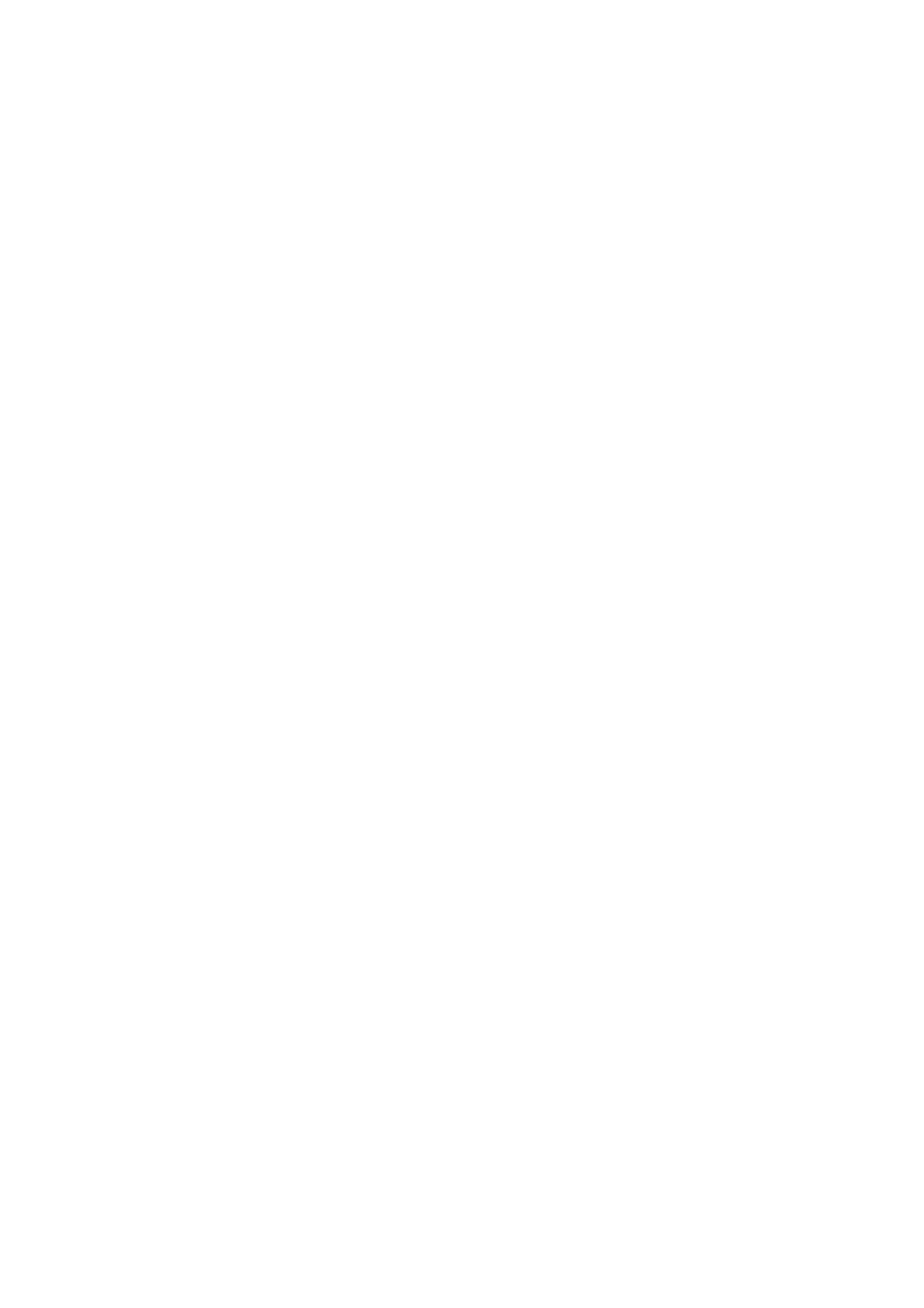| ---- |  |
|------|--|
|      |  |
|      |  |
|      |  |
|      |  |
|      |  |
|      |  |
|      |  |
|      |  |
|      |  |
|      |  |
|      |  |
|      |  |
|      |  |
|      |  |
|      |  |
|      |  |
|      |  |
|      |  |
|      |  |
|      |  |
|      |  |
|      |  |
|      |  |
|      |  |
|      |  |
|      |  |
|      |  |
|      |  |
|      |  |
|      |  |
|      |  |
|      |  |
|      |  |
|      |  |
|      |  |
|      |  |
|      |  |
|      |  |
|      |  |
|      |  |
|      |  |
|      |  |
|      |  |
|      |  |
|      |  |
|      |  |
|      |  |
|      |  |
|      |  |
|      |  |
|      |  |
|      |  |
|      |  |
|      |  |
|      |  |
|      |  |
|      |  |
|      |  |

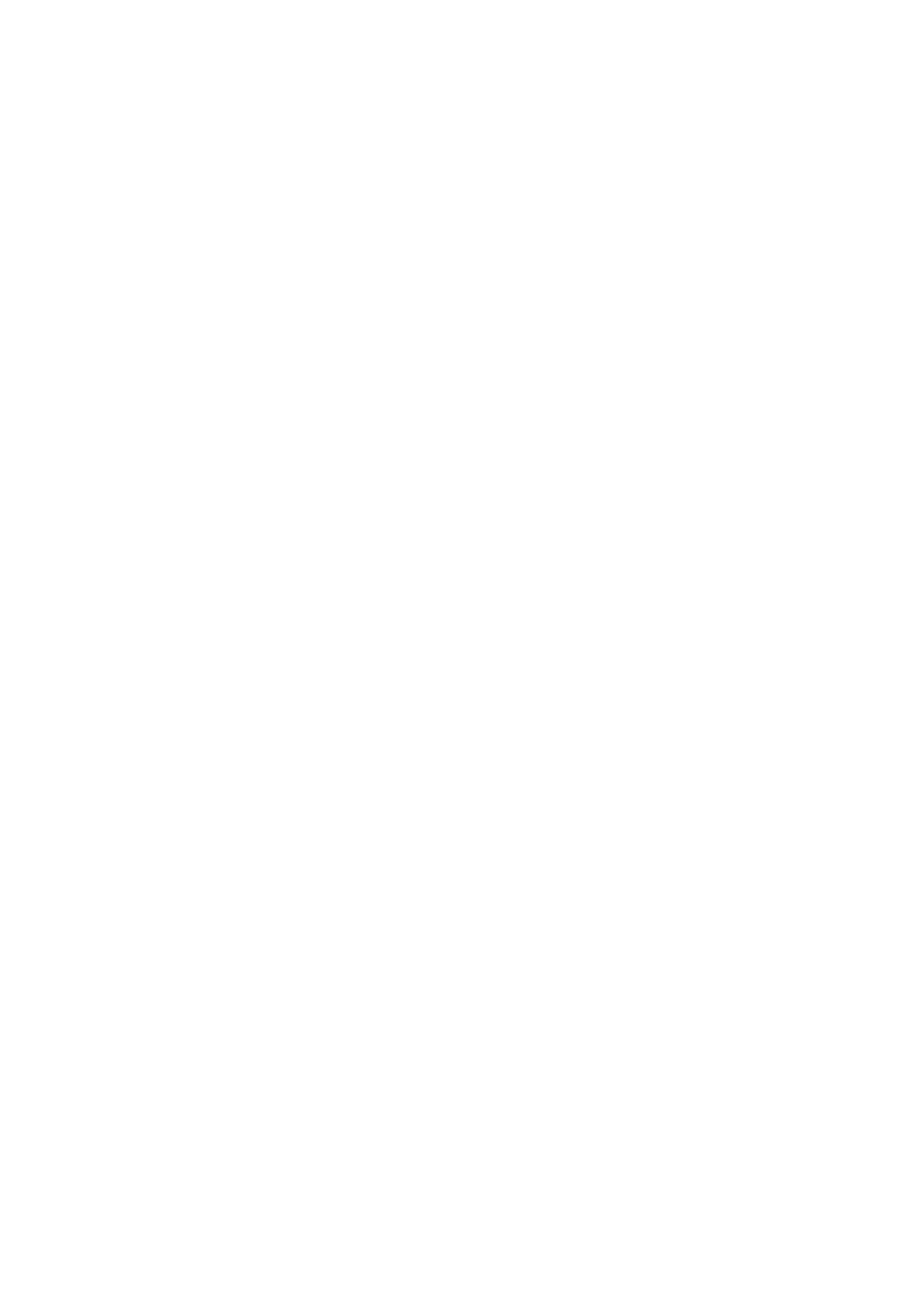| ---- |  |
|------|--|
|      |  |
|      |  |
|      |  |
|      |  |
|      |  |
|      |  |
|      |  |
|      |  |
|      |  |
|      |  |
|      |  |
|      |  |
|      |  |
|      |  |
|      |  |
|      |  |
|      |  |
|      |  |
|      |  |
|      |  |
|      |  |
|      |  |
|      |  |
|      |  |
|      |  |
|      |  |
|      |  |
|      |  |
|      |  |
|      |  |
|      |  |
|      |  |
|      |  |
|      |  |
|      |  |
|      |  |
|      |  |
|      |  |
|      |  |
|      |  |
|      |  |
|      |  |
|      |  |
|      |  |
|      |  |
|      |  |
|      |  |
|      |  |
|      |  |
|      |  |
|      |  |
|      |  |
|      |  |
|      |  |
|      |  |
|      |  |
|      |  |
|      |  |

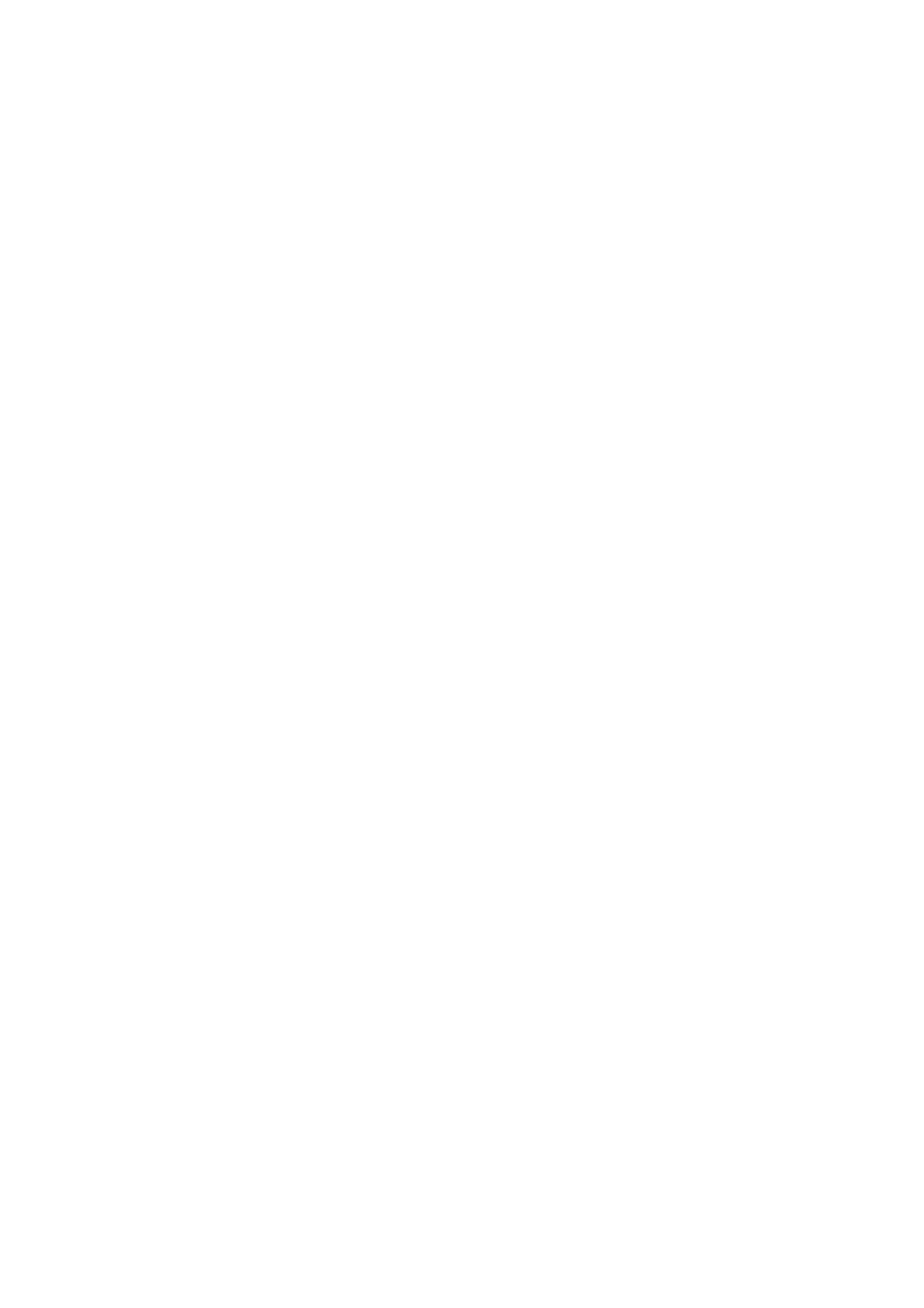| ---- |  |
|------|--|
|      |  |
|      |  |
|      |  |
|      |  |
|      |  |
|      |  |
|      |  |
|      |  |
|      |  |
|      |  |
|      |  |
|      |  |
|      |  |
|      |  |
|      |  |
|      |  |
|      |  |
|      |  |
|      |  |
|      |  |
|      |  |
|      |  |
|      |  |
|      |  |
|      |  |
|      |  |
|      |  |
|      |  |
|      |  |
|      |  |
|      |  |
|      |  |
|      |  |
|      |  |
|      |  |
|      |  |
|      |  |
|      |  |
|      |  |
|      |  |
|      |  |
|      |  |
|      |  |
|      |  |
|      |  |
|      |  |
|      |  |
|      |  |
|      |  |
|      |  |
|      |  |
|      |  |
|      |  |
|      |  |
|      |  |
|      |  |
|      |  |
|      |  |

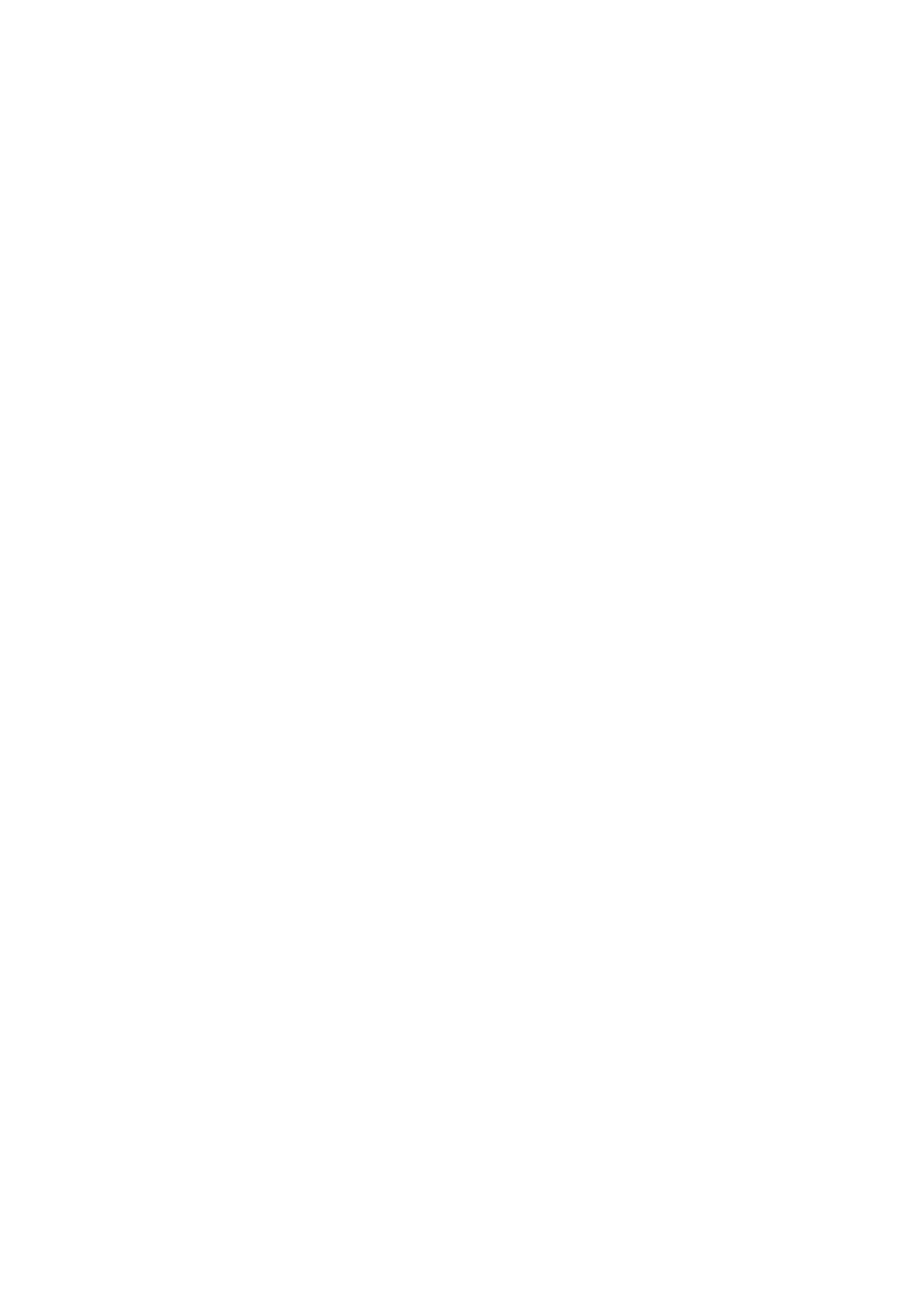| ---- |  |
|------|--|
|      |  |
|      |  |
|      |  |
|      |  |
|      |  |
|      |  |
|      |  |
|      |  |
|      |  |
|      |  |
|      |  |
|      |  |
|      |  |
|      |  |
|      |  |
|      |  |
|      |  |
|      |  |
|      |  |
|      |  |
|      |  |
|      |  |
|      |  |
|      |  |
|      |  |
|      |  |
|      |  |
|      |  |
|      |  |
|      |  |
|      |  |
|      |  |
|      |  |
|      |  |
|      |  |
|      |  |
|      |  |
|      |  |
|      |  |
|      |  |
|      |  |
|      |  |
|      |  |
|      |  |
|      |  |
|      |  |
|      |  |
|      |  |
|      |  |
|      |  |
|      |  |
|      |  |
|      |  |
|      |  |
|      |  |
|      |  |
|      |  |
|      |  |

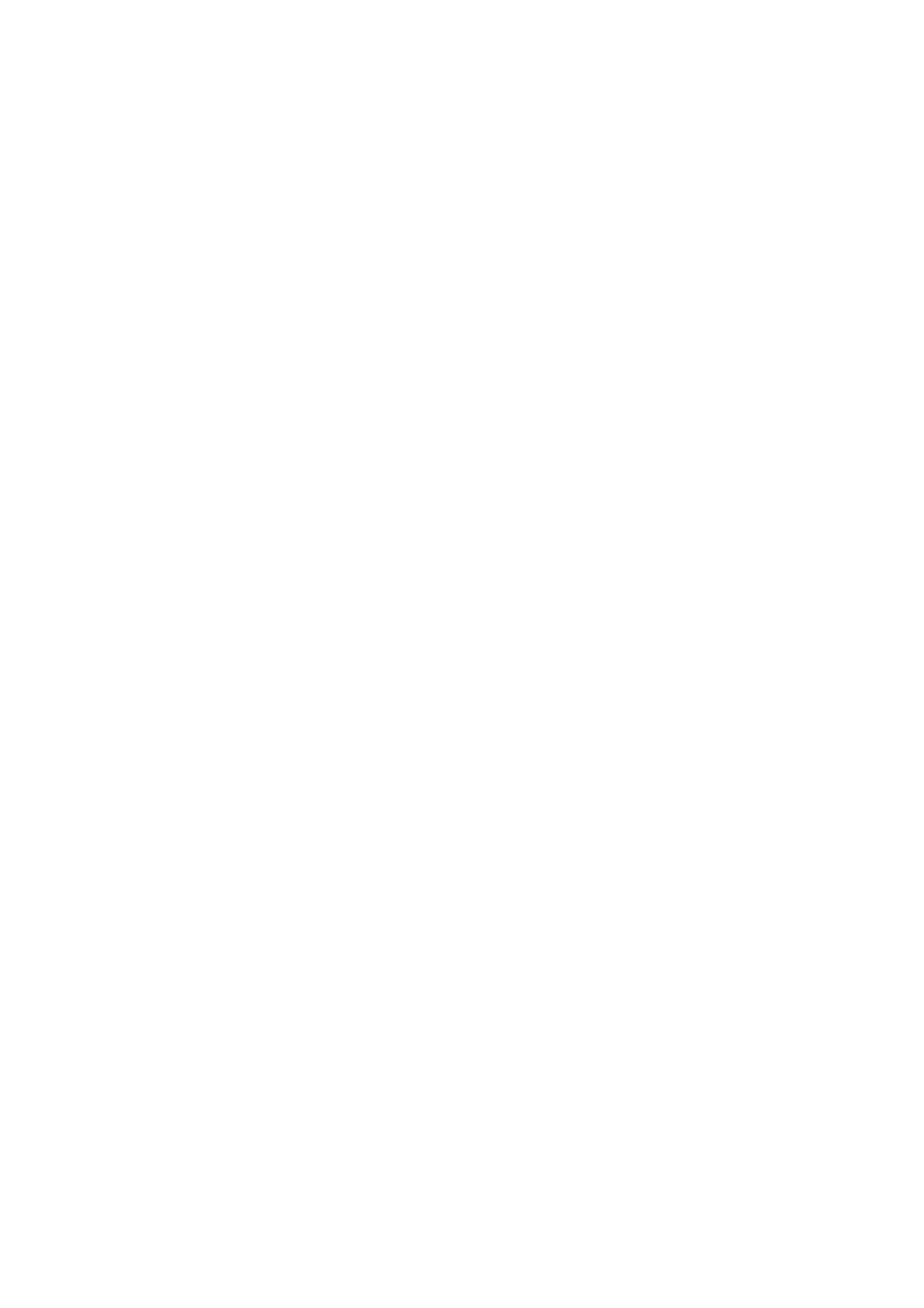| ---- |  |
|------|--|
|      |  |
|      |  |
|      |  |
|      |  |
|      |  |
|      |  |
|      |  |
|      |  |
|      |  |
|      |  |
|      |  |
|      |  |
|      |  |
|      |  |
|      |  |
|      |  |
|      |  |
|      |  |
|      |  |
|      |  |
|      |  |
|      |  |
|      |  |
|      |  |
|      |  |
|      |  |
|      |  |
|      |  |
|      |  |
|      |  |
|      |  |
|      |  |
|      |  |
|      |  |
|      |  |
|      |  |
|      |  |
|      |  |
|      |  |
|      |  |
|      |  |
|      |  |
|      |  |
|      |  |
|      |  |
|      |  |
|      |  |
|      |  |
|      |  |
|      |  |
|      |  |
|      |  |
|      |  |
|      |  |
|      |  |
|      |  |
|      |  |
|      |  |

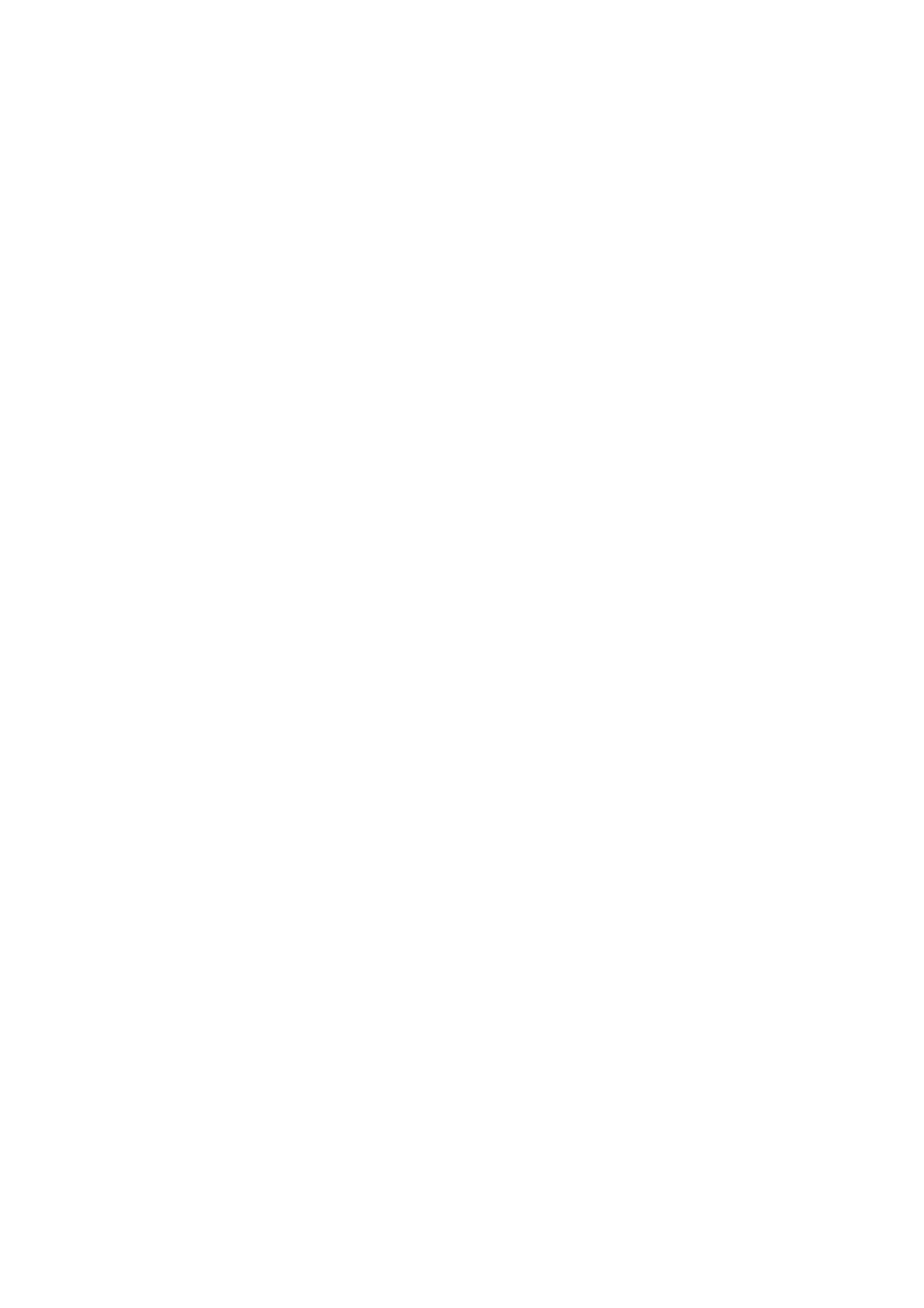| ---- |  |
|------|--|
|      |  |
|      |  |
|      |  |
|      |  |
|      |  |
|      |  |
|      |  |
|      |  |
|      |  |
|      |  |
|      |  |
|      |  |
|      |  |
|      |  |
|      |  |
|      |  |
|      |  |
|      |  |
|      |  |
|      |  |
|      |  |
|      |  |
|      |  |
|      |  |
|      |  |
|      |  |
|      |  |
|      |  |
|      |  |
|      |  |
|      |  |
|      |  |
|      |  |
|      |  |
|      |  |
|      |  |
|      |  |
|      |  |
|      |  |
|      |  |
|      |  |
|      |  |
|      |  |
|      |  |
|      |  |
|      |  |
|      |  |
|      |  |
|      |  |
|      |  |
|      |  |
|      |  |
|      |  |
|      |  |
|      |  |
|      |  |
|      |  |
|      |  |

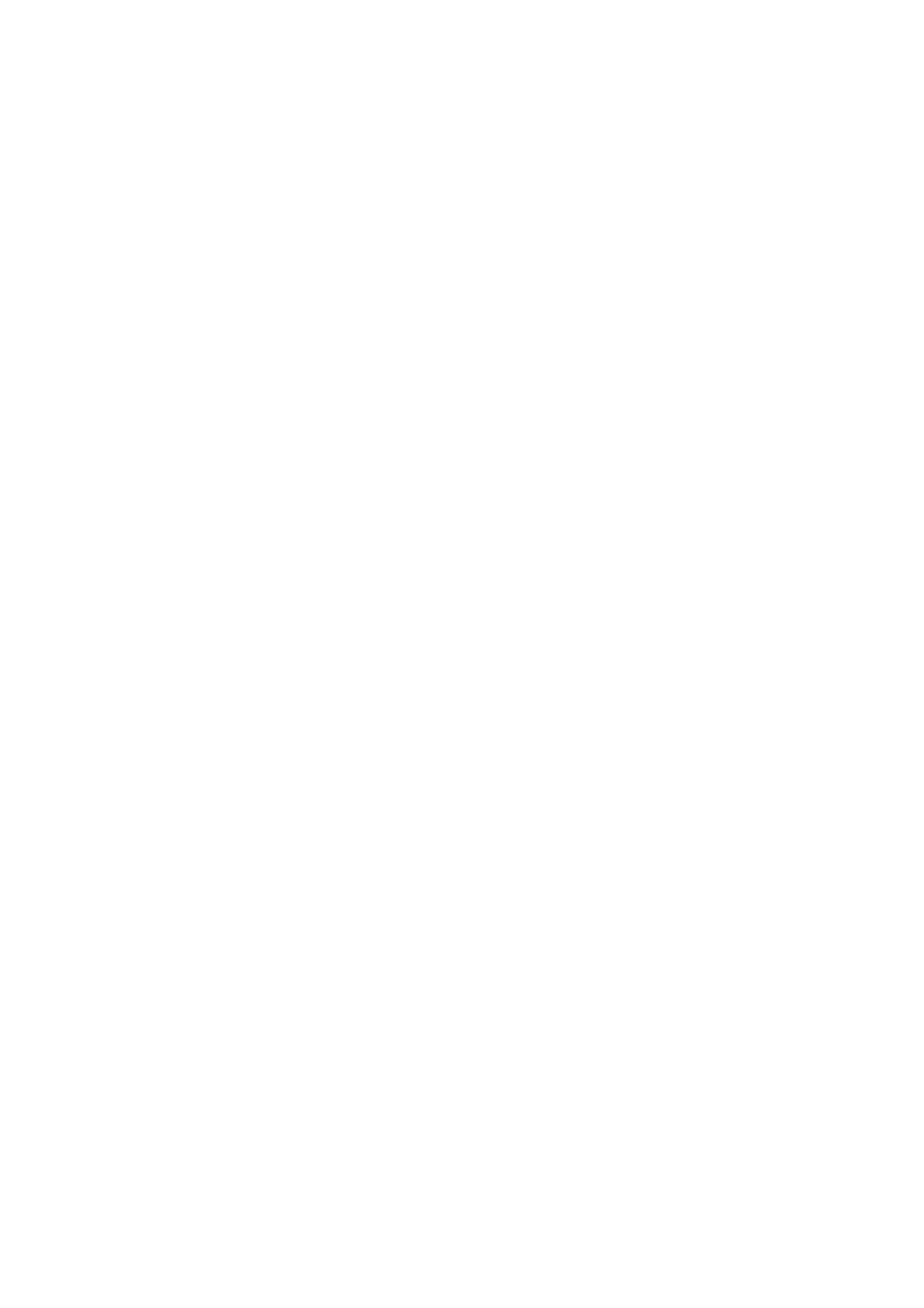| ---- |  |
|------|--|
|      |  |
|      |  |
|      |  |
|      |  |
|      |  |
|      |  |
|      |  |
|      |  |
|      |  |
|      |  |
|      |  |
|      |  |
|      |  |
|      |  |
|      |  |
|      |  |
|      |  |
|      |  |
|      |  |
|      |  |
|      |  |
|      |  |
|      |  |
|      |  |
|      |  |
|      |  |
|      |  |
|      |  |
|      |  |
|      |  |
|      |  |
|      |  |
|      |  |
|      |  |
|      |  |
|      |  |
|      |  |
|      |  |
|      |  |
|      |  |
|      |  |
|      |  |
|      |  |
|      |  |
|      |  |
|      |  |
|      |  |
|      |  |
|      |  |
|      |  |
|      |  |
|      |  |
|      |  |
|      |  |
|      |  |
|      |  |
|      |  |
|      |  |

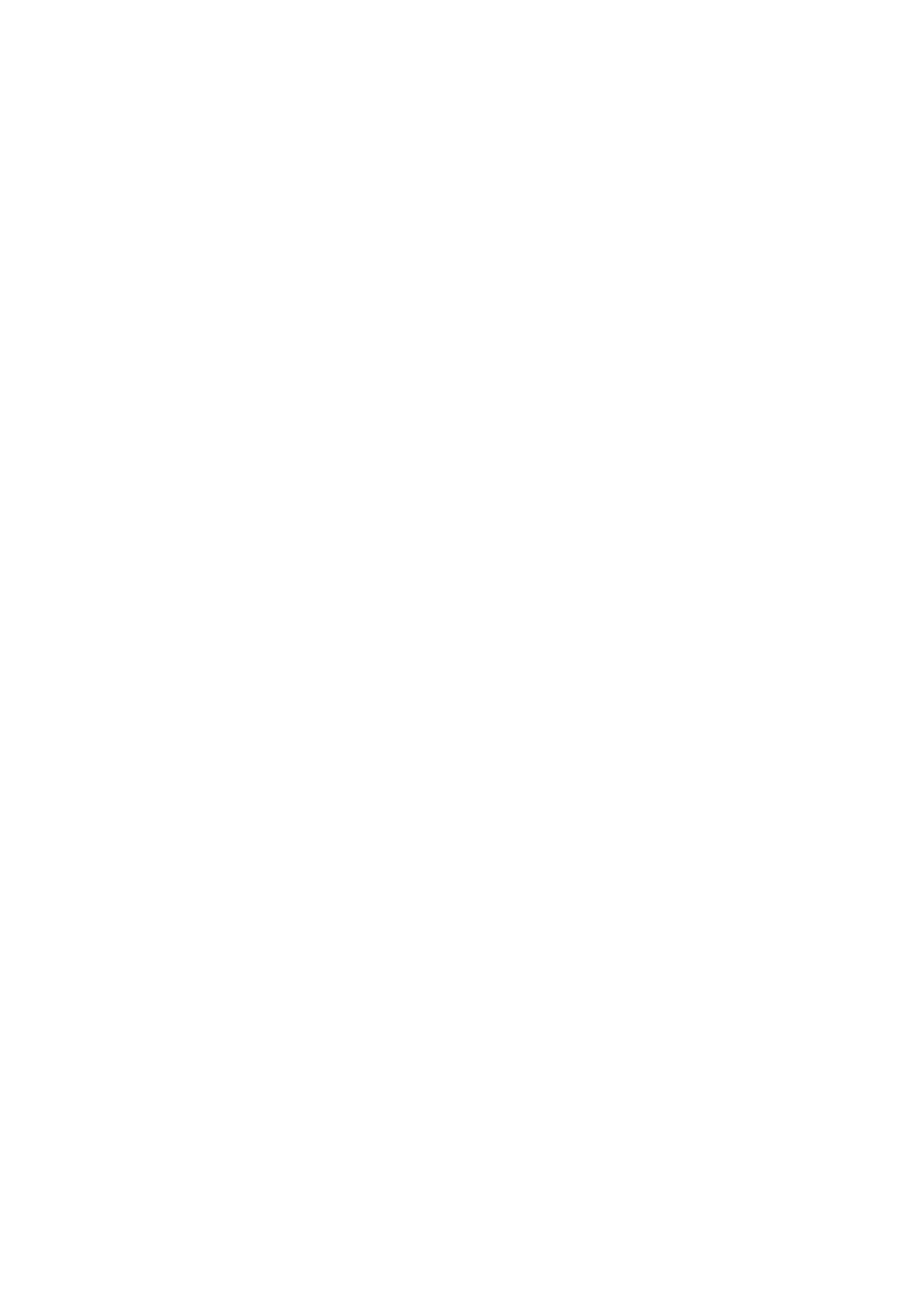| ---- |  |
|------|--|
|      |  |
|      |  |
|      |  |
|      |  |
|      |  |
|      |  |
|      |  |
|      |  |
|      |  |
|      |  |
|      |  |
|      |  |
|      |  |
|      |  |
|      |  |
|      |  |
|      |  |
|      |  |
|      |  |
|      |  |
|      |  |
|      |  |
|      |  |
|      |  |
|      |  |
|      |  |
|      |  |
|      |  |
|      |  |
|      |  |
|      |  |
|      |  |
|      |  |
|      |  |
|      |  |
|      |  |
|      |  |
|      |  |
|      |  |
|      |  |
|      |  |
|      |  |
|      |  |
|      |  |
|      |  |
|      |  |
|      |  |
|      |  |
|      |  |
|      |  |
|      |  |
|      |  |
|      |  |
|      |  |
|      |  |
|      |  |
|      |  |
|      |  |

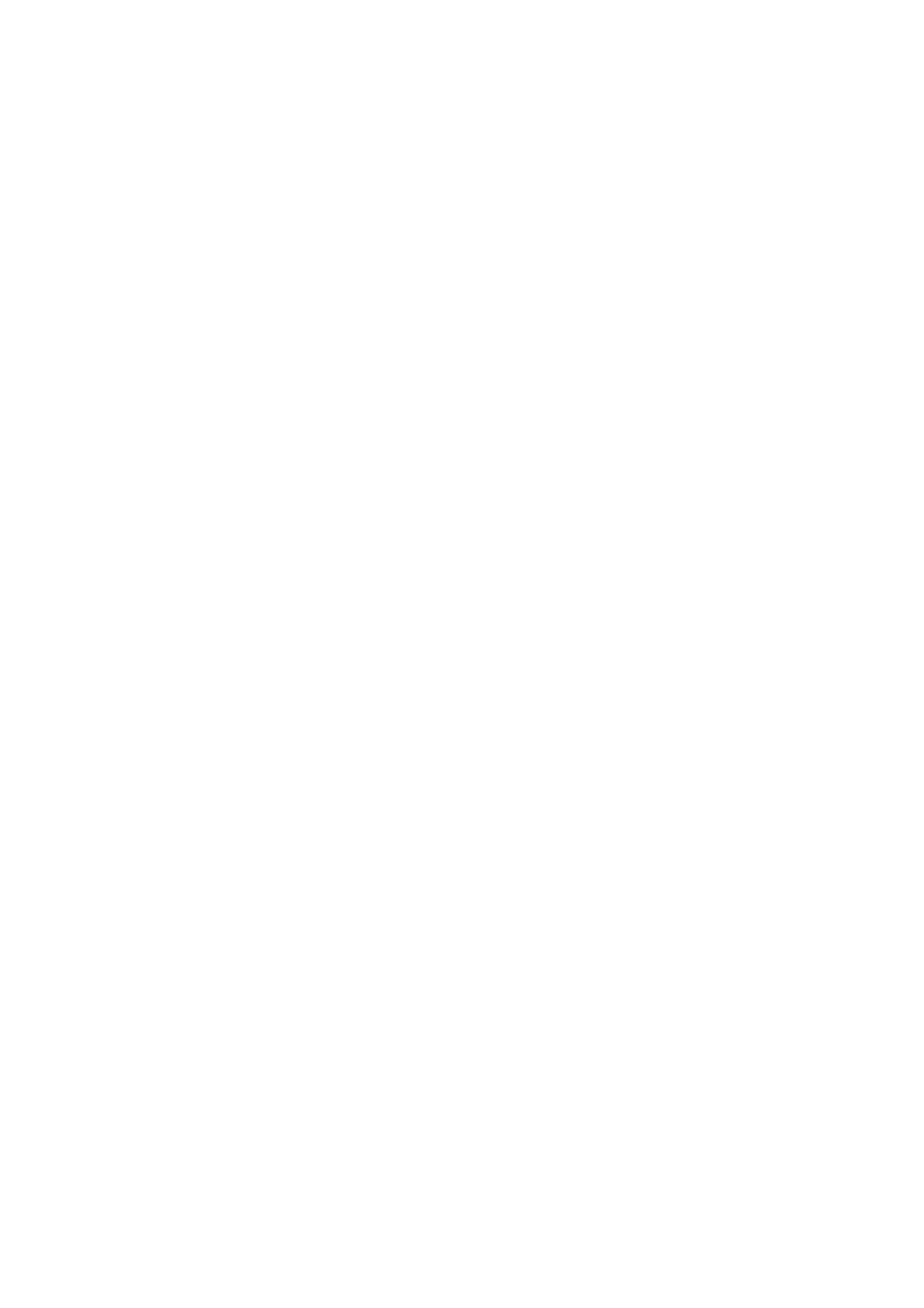| ---- |  |
|------|--|
|      |  |
|      |  |
|      |  |
|      |  |
|      |  |
|      |  |
|      |  |
|      |  |
|      |  |
|      |  |
|      |  |
|      |  |
|      |  |
|      |  |
|      |  |
|      |  |
|      |  |
|      |  |
|      |  |
|      |  |
|      |  |
|      |  |
|      |  |
|      |  |
|      |  |
|      |  |
|      |  |
|      |  |
|      |  |
|      |  |
|      |  |
|      |  |
|      |  |
|      |  |
|      |  |
|      |  |
|      |  |
|      |  |
|      |  |
|      |  |
|      |  |
|      |  |
|      |  |
|      |  |
|      |  |
|      |  |
|      |  |
|      |  |
|      |  |
|      |  |
|      |  |
|      |  |
|      |  |
|      |  |
|      |  |
|      |  |
|      |  |
|      |  |

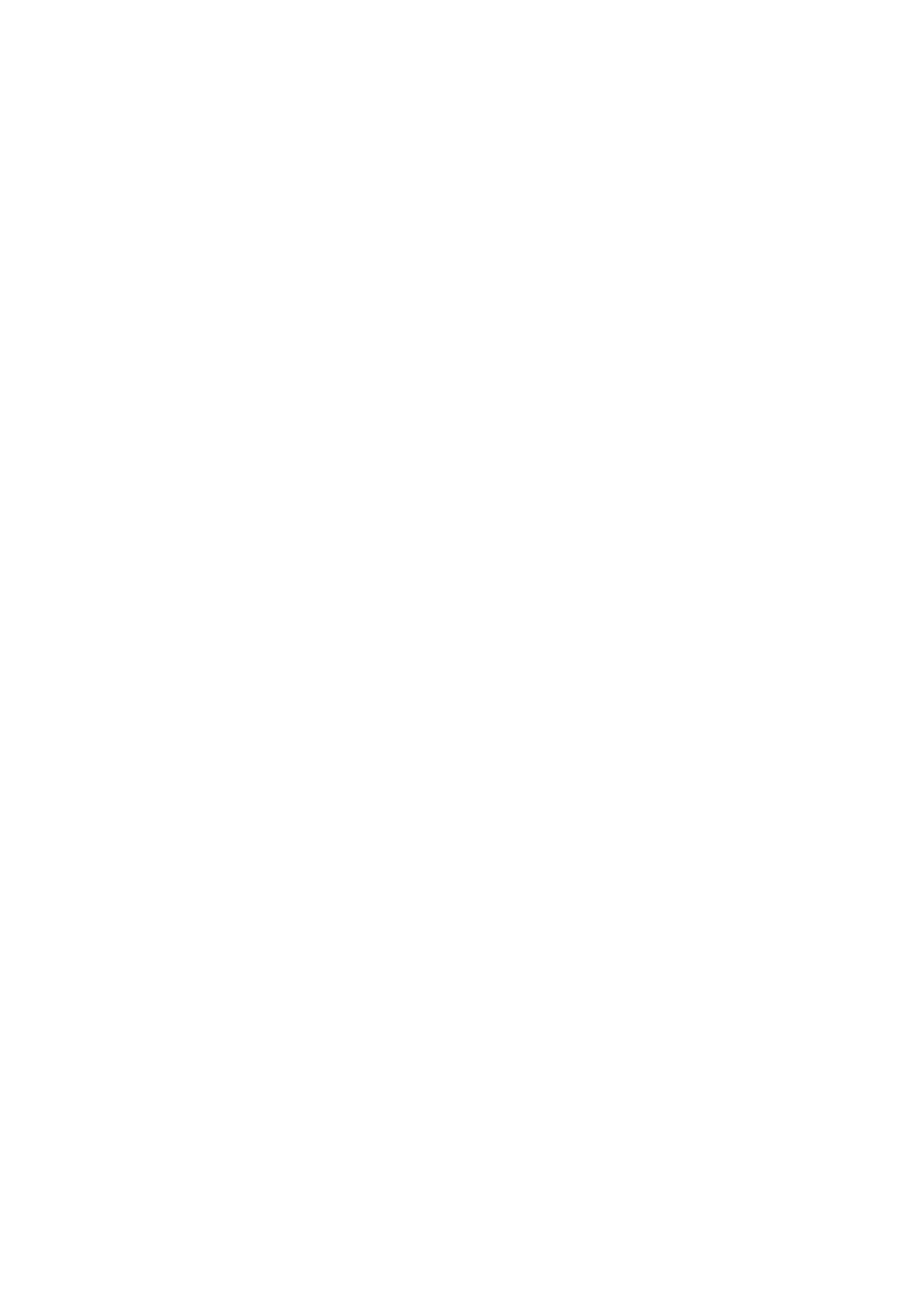| ---- |  |
|------|--|
|      |  |
|      |  |
|      |  |
|      |  |
|      |  |
|      |  |
|      |  |
|      |  |
|      |  |
|      |  |
|      |  |
|      |  |
|      |  |
|      |  |
|      |  |
|      |  |
|      |  |
|      |  |
|      |  |
|      |  |
|      |  |
|      |  |
|      |  |
|      |  |
|      |  |
|      |  |
|      |  |
|      |  |
|      |  |
|      |  |
|      |  |
|      |  |
|      |  |
|      |  |
|      |  |
|      |  |
|      |  |
|      |  |
|      |  |
|      |  |
|      |  |
|      |  |
|      |  |
|      |  |
|      |  |
|      |  |
|      |  |
|      |  |
|      |  |
|      |  |
|      |  |
|      |  |
|      |  |
|      |  |
|      |  |
|      |  |
|      |  |
|      |  |

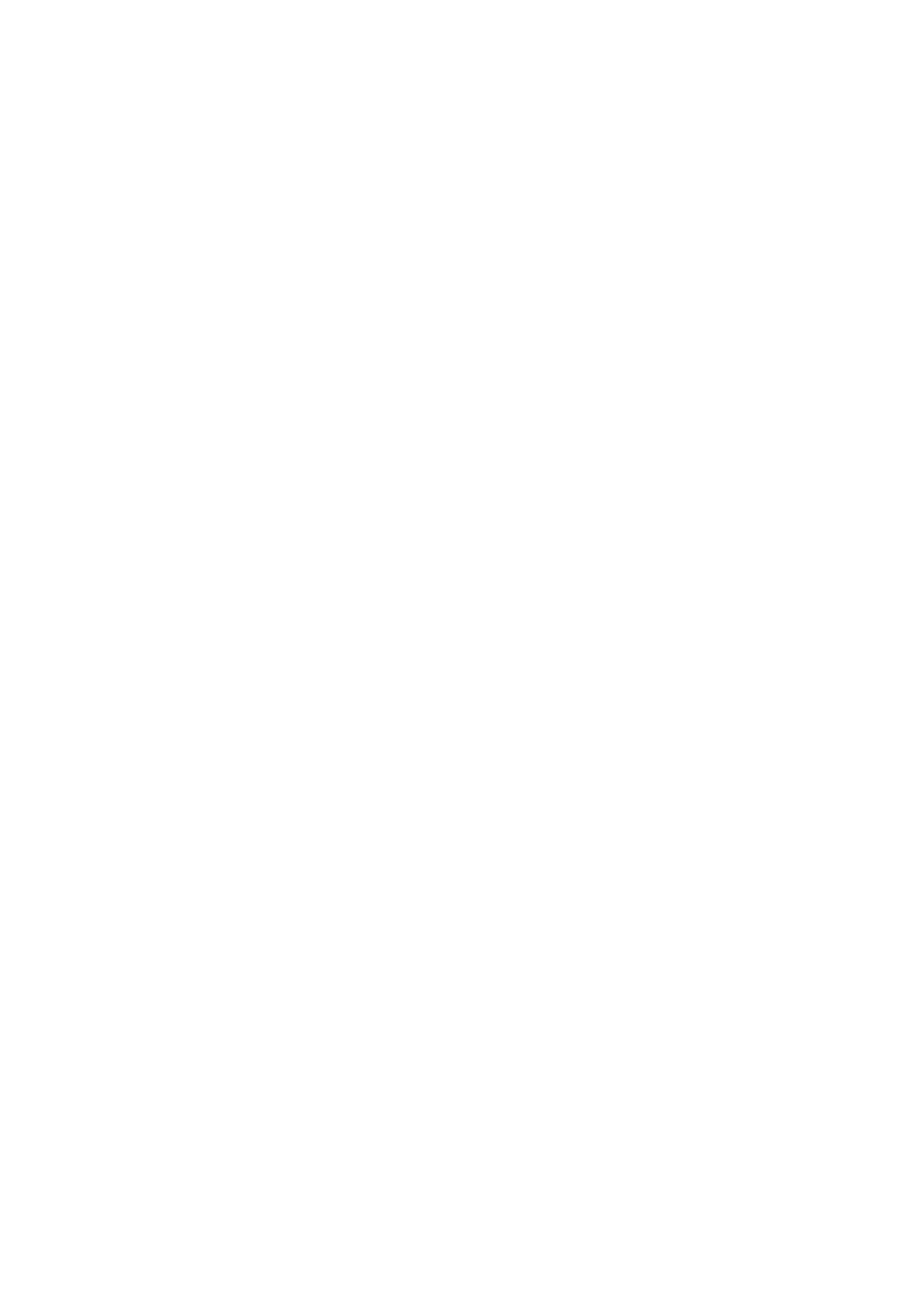| ---- |  |
|------|--|
|      |  |
|      |  |
|      |  |
|      |  |
|      |  |
|      |  |
|      |  |
|      |  |
|      |  |
|      |  |
|      |  |
|      |  |
|      |  |
|      |  |
|      |  |
|      |  |
|      |  |
|      |  |
|      |  |
|      |  |
|      |  |
|      |  |
|      |  |
|      |  |
|      |  |
|      |  |
|      |  |
|      |  |
|      |  |
|      |  |
|      |  |
|      |  |
|      |  |
|      |  |
|      |  |
|      |  |
|      |  |
|      |  |
|      |  |
|      |  |
|      |  |
|      |  |
|      |  |
|      |  |
|      |  |
|      |  |
|      |  |
|      |  |
|      |  |
|      |  |
|      |  |
|      |  |
|      |  |
|      |  |
|      |  |
|      |  |
|      |  |
|      |  |

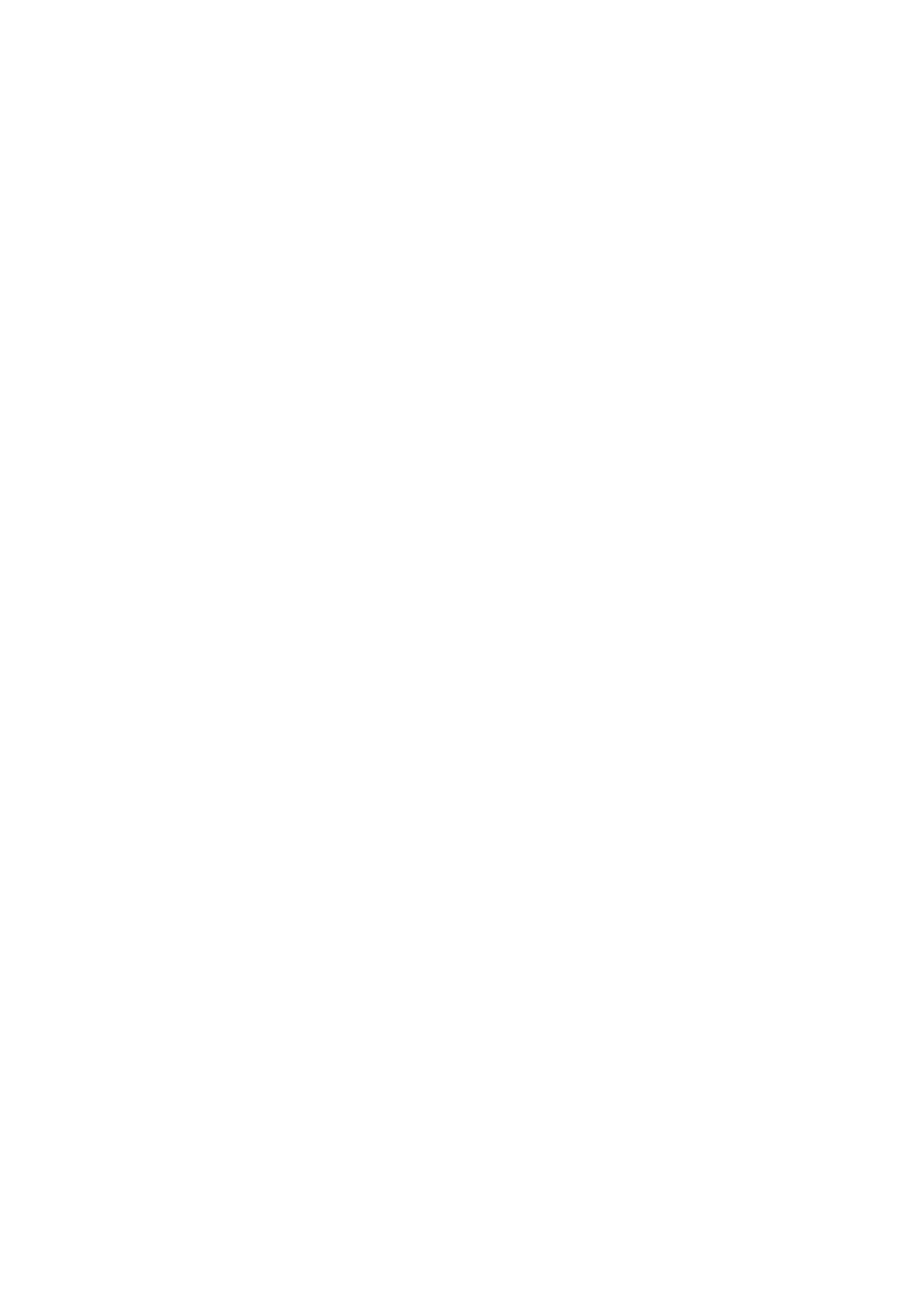| ---- |  |
|------|--|
|      |  |
|      |  |
|      |  |
|      |  |
|      |  |
|      |  |
|      |  |
|      |  |
|      |  |
|      |  |
|      |  |
|      |  |
|      |  |
|      |  |
|      |  |
|      |  |
|      |  |
|      |  |
|      |  |
|      |  |
|      |  |
|      |  |
|      |  |
|      |  |
|      |  |
|      |  |
|      |  |
|      |  |
|      |  |
|      |  |
|      |  |
|      |  |
|      |  |
|      |  |
|      |  |
|      |  |
|      |  |
|      |  |
|      |  |
|      |  |
|      |  |
|      |  |
|      |  |
|      |  |
|      |  |
|      |  |
|      |  |
|      |  |
|      |  |
|      |  |
|      |  |
|      |  |
|      |  |
|      |  |
|      |  |
|      |  |
|      |  |
|      |  |